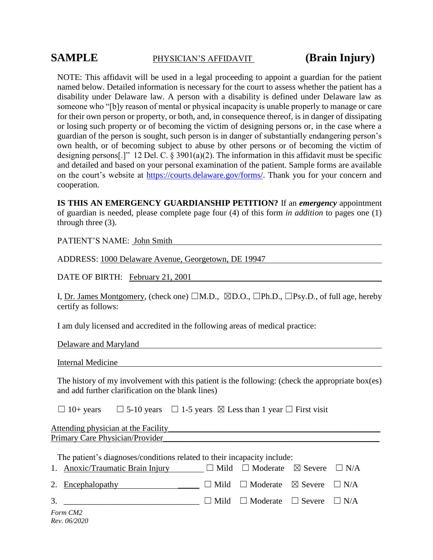# **SAMPLE** PHYSICIAN'S AFFIDAVIT **(Brain Injury)**

NOTE: This affidavit will be used in a legal proceeding to appoint a guardian for the patient named below. Detailed information is necessary for the court to assess whether the patient has a disability under Delaware law. A person with a disability is defined under Delaware law as someone who "[b]y reason of mental or physical incapacity is unable properly to manage or care for their own person or property, or both, and, in consequence thereof, is in danger of dissipating or losing such property or of becoming the victim of designing persons or, in the case where a guardian of the person is sought, such person is in danger of substantially endangering person's own health, or of becoming subject to abuse by other persons or of becoming the victim of designing persons[.]" 12 Del. C. § 3901(a)(2). The information in this affidavit must be specific and detailed and based on your personal examination of the patient. Sample forms are available on the court's website at [https://courts.delaware.gov/forms/.](https://courts.delaware.gov/forms/) Thank you for your concern and cooperation.

**IS THIS AN EMERGENCY GUARDIANSHIP PETITION?** If an *emergency* appointment of guardian is needed, please complete page four (4) of this form *in addition* to pages one (1) through three (3).

PATIENT'S NAME: John Smith

ADDRESS: 1000 Delaware Avenue, Georgetown, DE 19947

DATE OF BIRTH: February 21, 2001

I, Dr. James Montgomery, (check one)  $\Box M.D., \Box D.O., \Box Ph.D., \Box Psy.D.,$  of full age, hereby certify as follows:

I am duly licensed and accredited in the following areas of medical practice:

Delaware and Maryland

Internal Medicine

The history of my involvement with this patient is the following: (check the appropriate box(es) and add further clarification on the blank lines)

 $\Box$  10+ years  $\Box$  5-10 years  $\Box$  1-5 years  $\boxtimes$  Less than 1 year  $\Box$  First visit

Attending physician at the Facility\_\_\_\_\_\_\_\_\_\_\_\_\_\_\_\_\_\_\_\_\_\_\_\_\_\_\_\_\_\_\_\_\_\_\_\_\_\_\_\_\_\_\_\_\_\_\_\_\_\_ Primary Care Physician/Provider

| The patient's diagnoses/conditions related to their incapacity include:                    |  |  |  |  |  |  |  |
|--------------------------------------------------------------------------------------------|--|--|--|--|--|--|--|
| 1. Anoxic/Traumatic Brain Injury $\Box$ Mild $\Box$ Moderate $\boxtimes$ Severe $\Box$ N/A |  |  |  |  |  |  |  |
| 2. Encephalopathy $\Box$ Mild $\Box$ Moderate $\boxtimes$ Severe $\Box$ N/A                |  |  |  |  |  |  |  |
| 3. $\Box$ Mild $\Box$ Moderate $\Box$ Severe $\Box$ N/A                                    |  |  |  |  |  |  |  |
| Form CM2<br>Rev. 06/2020                                                                   |  |  |  |  |  |  |  |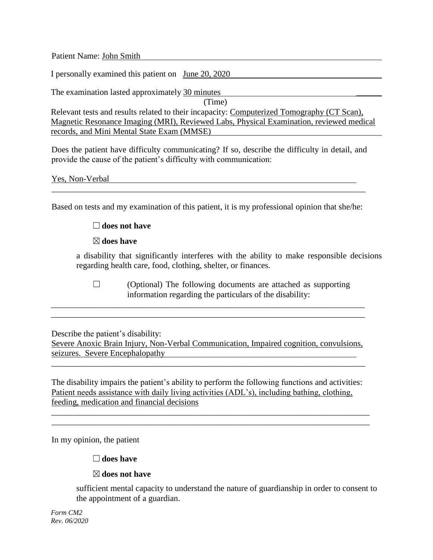Patient Name: John Smith

I personally examined this patient on June 20, 2020

The examination lasted approximately 30 minutes (Time) Relevant tests and results related to their incapacity: Computerized Tomography (CT Scan), Magnetic Resonance Imaging (MRI), Reviewed Labs, Physical Examination, reviewed medical records, and Mini Mental State Exam (MMSE)

Does the patient have difficulty communicating? If so, describe the difficulty in detail, and provide the cause of the patient's difficulty with communication:

|  | Yes, Non-Verbal |
|--|-----------------|
|  |                 |

Based on tests and my examination of this patient, it is my professional opinion that she/he:

#### ☐**does not have**

☒**does have**

a disability that significantly interferes with the ability to make responsible decisions regarding health care, food, clothing, shelter, or finances.

 $\Box$  (Optional) The following documents are attached as supporting information regarding the particulars of the disability:

Describe the patient's disability:

Severe Anoxic Brain Injury, Non-Verbal Communication, Impaired cognition, convulsions, seizures. Severe Encephalopathy

\_\_\_\_\_\_\_\_\_\_\_\_\_\_\_\_\_\_\_\_\_\_\_\_\_\_\_\_\_\_\_\_\_\_\_\_\_\_\_\_\_\_\_\_\_\_\_\_\_\_\_\_\_\_\_\_\_\_\_\_\_\_\_\_\_\_\_\_\_\_\_\_\_\_

\_\_\_\_\_\_\_\_\_\_\_\_\_\_\_\_\_\_\_\_\_\_\_\_\_\_\_\_\_\_\_\_\_\_\_\_\_\_\_\_\_\_\_\_\_\_\_\_\_\_\_\_\_\_\_\_\_\_\_\_\_\_\_\_\_\_\_\_\_\_\_\_\_\_ \_\_\_\_\_\_\_\_\_\_\_\_\_\_\_\_\_\_\_\_\_\_\_\_\_\_\_\_\_\_\_\_\_\_\_\_\_\_\_\_\_\_\_\_\_\_\_\_\_\_\_\_\_\_\_\_\_\_\_\_\_\_\_\_\_\_\_\_\_\_\_\_\_\_

The disability impairs the patient's ability to perform the following functions and activities: Patient needs assistance with daily living activities (ADL's), including bathing, clothing, feeding, medication and financial decisions

\_\_\_\_\_\_\_\_\_\_\_\_\_\_\_\_\_\_\_\_\_\_\_\_\_\_\_\_\_\_\_\_\_\_\_\_\_\_\_\_\_\_\_\_\_\_\_\_\_\_\_\_\_\_\_\_\_\_\_\_\_\_\_\_\_\_\_\_\_\_\_\_\_\_\_ \_\_\_\_\_\_\_\_\_\_\_\_\_\_\_\_\_\_\_\_\_\_\_\_\_\_\_\_\_\_\_\_\_\_\_\_\_\_\_\_\_\_\_\_\_\_\_\_\_\_\_\_\_\_\_\_\_\_\_\_\_\_\_\_\_\_\_\_\_\_\_\_\_\_\_

In my opinion, the patient

#### ☐**does have**

#### ☒**does not have**

sufficient mental capacity to understand the nature of guardianship in order to consent to the appointment of a guardian.

*Form CM2 Rev. 06/2020*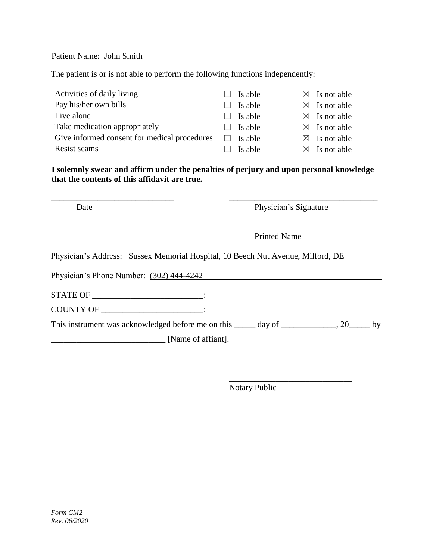Patient Name: John Smith

The patient is or is not able to perform the following functions independently:

| Activities of daily living                   | $\vert \ \ \vert$ | Is able | $\boxtimes$ Is not able |
|----------------------------------------------|-------------------|---------|-------------------------|
| Pay his/her own bills                        |                   | Is able | $\boxtimes$ Is not able |
| Live alone                                   |                   | Is able | $\boxtimes$ Is not able |
| Take medication appropriately                |                   | Is able | $\boxtimes$ Is not able |
| Give informed consent for medical procedures |                   | Is able | $\boxtimes$ Is not able |
| Resist scams                                 |                   | Is able | $\boxtimes$ Is not able |

**I solemnly swear and affirm under the penalties of perjury and upon personal knowledge that the contents of this affidavit are true.**

\_\_\_\_\_\_\_\_\_\_\_\_\_\_\_\_\_\_\_\_\_\_\_\_\_\_\_\_\_ \_\_\_\_\_\_\_\_\_\_\_\_\_\_\_\_\_\_\_\_\_\_\_\_\_\_\_\_\_\_\_\_\_\_\_

Date Physician's Signature

\_\_\_\_\_\_\_\_\_\_\_\_\_\_\_\_\_\_\_\_\_\_\_\_\_\_\_\_\_\_\_\_\_\_\_ Printed Name

Physician's Address: Sussex Memorial Hospital, 10 Beech Nut Avenue, Milford, DE

Physician's Phone Number: (302) 444-4242

STATE OF \_\_\_\_\_\_\_\_\_\_\_\_\_\_\_\_\_\_\_\_\_\_\_\_\_\_\_:

COUNTY OF \_\_\_\_\_\_\_\_\_\_\_\_\_\_\_\_\_\_\_\_\_\_\_\_:

This instrument was acknowledged before me on this \_\_\_\_\_ day of \_\_\_\_\_\_\_\_\_\_\_, 20\_\_\_\_\_ by [Name of affiant].

\_\_\_\_\_\_\_\_\_\_\_\_\_\_\_\_\_\_\_\_\_\_\_\_\_\_\_\_\_ Notary Public

*Form CM2 Rev. 06/2020*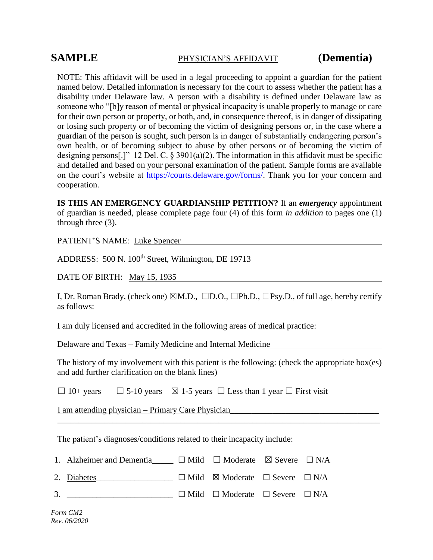### **SAMPLE** PHYSICIAN'S AFFIDAVIT **(Dementia)**

NOTE: This affidavit will be used in a legal proceeding to appoint a guardian for the patient named below. Detailed information is necessary for the court to assess whether the patient has a disability under Delaware law. A person with a disability is defined under Delaware law as someone who "[b]y reason of mental or physical incapacity is unable properly to manage or care for their own person or property, or both, and, in consequence thereof, is in danger of dissipating or losing such property or of becoming the victim of designing persons or, in the case where a guardian of the person is sought, such person is in danger of substantially endangering person's own health, or of becoming subject to abuse by other persons or of becoming the victim of designing persons[.]" 12 Del. C.  $\S 3901(a)(2)$ . The information in this affidavit must be specific and detailed and based on your personal examination of the patient. Sample forms are available on the court's website at [https://courts.delaware.gov/forms/.](https://courts.delaware.gov/forms/) Thank you for your concern and cooperation.

**IS THIS AN EMERGENCY GUARDIANSHIP PETITION?** If an *emergency* appointment of guardian is needed, please complete page four (4) of this form *in addition* to pages one (1) through three (3).

PATIENT'S NAME: Luke Spencer

ADDRESS: 500 N. 100<sup>th</sup> Street, Wilmington, DE 19713

DATE OF BIRTH: May 15, 1935

I, Dr. Roman Brady, (check one)  $\boxtimes M.D., \square D.O., \square Ph.D., \square Psy.D.,$  of full age, hereby certify as follows:

I am duly licensed and accredited in the following areas of medical practice:

Delaware and Texas – Family Medicine and Internal Medicine

The history of my involvement with this patient is the following: (check the appropriate box(es) and add further clarification on the blank lines)

\_\_\_\_\_\_\_\_\_\_\_\_\_\_\_\_\_\_\_\_\_\_\_\_\_\_\_\_\_\_\_\_\_\_\_\_\_\_\_\_\_\_\_\_\_\_\_\_\_\_\_\_\_\_\_\_\_\_\_\_\_\_\_\_\_\_\_\_\_\_\_\_\_\_\_\_

 $\Box$  10+ years  $\Box$  5-10 years  $\boxtimes$  1-5 years  $\Box$  Less than 1 year  $\Box$  First visit

I am attending physician – Primary Care Physician

The patient's diagnoses/conditions related to their incapacity include:

| 1. Alzheimer and Dementia | $\Box$ Mild $\Box$ Moderate $\boxtimes$ Severe $\Box$ N/A |  |
|---------------------------|-----------------------------------------------------------|--|
|                           |                                                           |  |

2. Diabetes  $\Box$  Mild ⊠ Moderate  $\Box$  Severe  $\Box$  N/A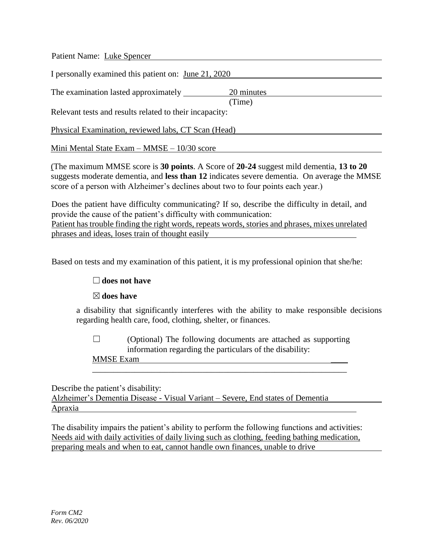Patient Name: Luke Spencer I personally examined this patient on: June 21, 2020 The examination lasted approximately 20 minutes (Time) Relevant tests and results related to their incapacity: Physical Examination, reviewed labs, CT Scan (Head) Mini Mental State Exam – MMSE – 10/30 score

(The maximum MMSE score is **30 points**. A Score of **20-24** suggest mild dementia, **13 to 20** suggests moderate dementia, and **less than 12** indicates severe dementia. On average the MMSE score of a person with Alzheimer's declines about two to four points each year.)

Does the patient have difficulty communicating? If so, describe the difficulty in detail, and provide the cause of the patient's difficulty with communication: Patient has trouble finding the right words, repeats words, stories and phrases, mixes unrelated phrases and ideas, loses train of thought easily

Based on tests and my examination of this patient, it is my professional opinion that she/he:

### ☐**does not have**

### ☒**does have**

a disability that significantly interferes with the ability to make responsible decisions regarding health care, food, clothing, shelter, or finances.

 $\Box$  (Optional) The following documents are attached as supporting information regarding the particulars of the disability:

\_\_\_\_\_\_\_\_\_\_\_\_\_\_\_\_\_\_\_\_\_\_\_\_\_\_\_\_\_\_\_\_\_\_\_\_\_\_\_\_\_\_\_\_\_\_\_\_\_\_\_\_\_\_\_\_\_\_\_\_

MMSE Exam \_\_\_\_

Describe the patient's disability:

Alzheimer's Dementia Disease - Visual Variant – Severe, End states of Dementia Apraxia

The disability impairs the patient's ability to perform the following functions and activities: Needs aid with daily activities of daily living such as clothing, feeding bathing medication, preparing meals and when to eat, cannot handle own finances, unable to drive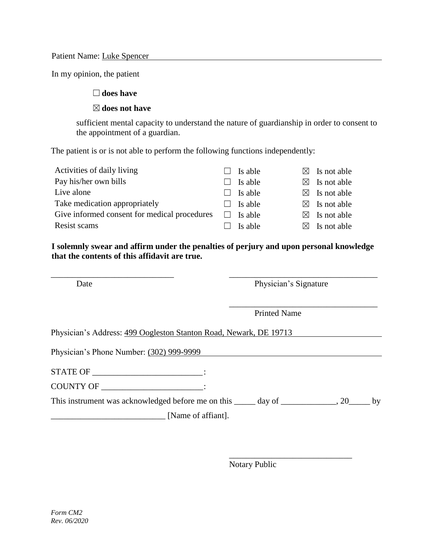Patient Name: Luke Spencer

In my opinion, the patient

### ☐**does have**

#### ☒**does not have**

sufficient mental capacity to understand the nature of guardianship in order to consent to the appointment of a guardian.

The patient is or is not able to perform the following functions independently:

| Activities of daily living                   |        | Is able        | $\boxtimes$ Is not able |
|----------------------------------------------|--------|----------------|-------------------------|
| Pay his/her own bills                        |        | Is able        | $\boxtimes$ Is not able |
| Live alone                                   | $\Box$ | Is able        | $\boxtimes$ Is not able |
| Take medication appropriately                |        | $\Box$ Is able | $\boxtimes$ Is not able |
| Give informed consent for medical procedures |        | Is able        | $\boxtimes$ Is not able |
| Resist scams                                 |        | Is able        | $\boxtimes$ Is not able |

**I solemnly swear and affirm under the penalties of perjury and upon personal knowledge that the contents of this affidavit are true.**

\_\_\_\_\_\_\_\_\_\_\_\_\_\_\_\_\_\_\_\_\_\_\_\_\_\_\_\_\_ \_\_\_\_\_\_\_\_\_\_\_\_\_\_\_\_\_\_\_\_\_\_\_\_\_\_\_\_\_\_\_\_\_\_\_

Date Physician's Signature

\_\_\_\_\_\_\_\_\_\_\_\_\_\_\_\_\_\_\_\_\_\_\_\_\_\_\_\_\_

\_\_\_\_\_\_\_\_\_\_\_\_\_\_\_\_\_\_\_\_\_\_\_\_\_\_\_\_\_\_\_\_\_\_\_

Printed Name

Physician's Address: 499 Oogleston Stanton Road, Newark, DE 19713

Physician's Phone Number: (302) 999-9999

STATE OF \_\_\_\_\_\_\_\_\_\_\_\_\_\_\_\_\_\_\_\_\_\_\_\_\_\_\_\_\_\_:

COUNTY OF \_\_\_\_\_\_\_\_\_\_\_\_\_\_\_\_\_\_\_\_\_\_\_\_:

This instrument was acknowledged before me on this  $\qquad \qquad$  day of  $\qquad \qquad$  . 20  $\qquad \qquad$  by

\_\_\_\_\_\_\_\_\_\_\_\_\_\_\_\_\_\_\_\_\_\_\_\_\_\_\_ [Name of affiant].

Notary Public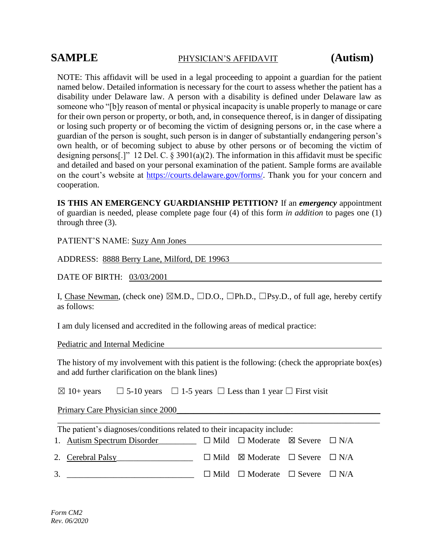## **SAMPLE** PHYSICIAN'S AFFIDAVIT **(Autism)**

NOTE: This affidavit will be used in a legal proceeding to appoint a guardian for the patient named below. Detailed information is necessary for the court to assess whether the patient has a disability under Delaware law. A person with a disability is defined under Delaware law as someone who "[b]y reason of mental or physical incapacity is unable properly to manage or care for their own person or property, or both, and, in consequence thereof, is in danger of dissipating or losing such property or of becoming the victim of designing persons or, in the case where a guardian of the person is sought, such person is in danger of substantially endangering person's own health, or of becoming subject to abuse by other persons or of becoming the victim of designing persons[.]" 12 Del. C. § 3901(a)(2). The information in this affidavit must be specific and detailed and based on your personal examination of the patient. Sample forms are available on the court's website at [https://courts.delaware.gov/forms/.](https://courts.delaware.gov/forms/) Thank you for your concern and cooperation.

**IS THIS AN EMERGENCY GUARDIANSHIP PETITION?** If an *emergency* appointment of guardian is needed, please complete page four (4) of this form *in addition* to pages one (1) through three (3).

PATIENT'S NAME: Suzy Ann Jones

ADDRESS: 8888 Berry Lane, Milford, DE 19963

DATE OF BIRTH: 03/03/2001

I, Chase Newman, (check one)  $\boxtimes M.D., \square D.O., \square Ph.D., \square Psy.D.,$  of full age, hereby certify as follows:

I am duly licensed and accredited in the following areas of medical practice:

Pediatric and Internal Medicine

The history of my involvement with this patient is the following: (check the appropriate box(es) and add further clarification on the blank lines)

\_\_\_\_\_\_\_\_\_\_\_\_\_\_\_\_\_\_\_\_\_\_\_\_\_\_\_\_\_\_\_\_\_\_\_\_\_\_\_\_\_\_\_\_\_\_\_\_\_\_\_\_\_\_\_\_\_\_\_\_\_\_\_\_\_\_\_\_\_\_\_\_\_\_\_\_

| $\Box$ 5-10 years $\Box$ 1-5 years $\Box$ Less than 1 year $\Box$ First visit<br>$\boxtimes$ 10+ years |  |
|--------------------------------------------------------------------------------------------------------|--|
|--------------------------------------------------------------------------------------------------------|--|

Primary Care Physician since 2000

| The patient's diagnoses/conditions related to their incapacity include:                      |  |                                                           |  |  |  |  |  |
|----------------------------------------------------------------------------------------------|--|-----------------------------------------------------------|--|--|--|--|--|
| 1. Autism Spectrum Disorder $\square$ Mild $\square$ Moderate $\square$ Severe $\square$ N/A |  |                                                           |  |  |  |  |  |
| 2. Cerebral Palsy                                                                            |  | $\Box$ Mild $\boxtimes$ Moderate $\Box$ Severe $\Box$ N/A |  |  |  |  |  |
| 3.                                                                                           |  | $\Box$ Mild $\Box$ Moderate $\Box$ Severe $\Box$ N/A      |  |  |  |  |  |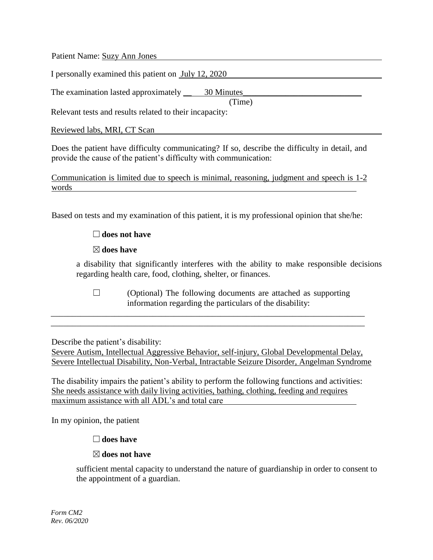Patient Name: Suzy Ann Jones

I personally examined this patient on July 12, 2020

The examination lasted approximately \_\_ 30 Minutes\_\_\_\_\_\_\_\_\_\_\_\_\_\_\_\_\_\_\_\_\_\_\_\_\_\_\_\_

(Time)

Relevant tests and results related to their incapacity:

Reviewed labs, MRI, CT Scan **Example 2018** and the contract of the contract of the contract of the contract of the contract of the contract of the contract of the contract of the contract of the contract of the contract of

Does the patient have difficulty communicating? If so, describe the difficulty in detail, and provide the cause of the patient's difficulty with communication:

Communication is limited due to speech is minimal, reasoning, judgment and speech is 1-2 words

Based on tests and my examination of this patient, it is my professional opinion that she/he:

#### ☐**does not have**

#### ☒**does have**

a disability that significantly interferes with the ability to make responsible decisions regarding health care, food, clothing, shelter, or finances.

 $\Box$  (Optional) The following documents are attached as supporting information regarding the particulars of the disability:

Describe the patient's disability:

Severe Autism, Intellectual Aggressive Behavior, self-injury, Global Developmental Delay, Severe Intellectual Disability, Non-Verbal, Intractable Seizure Disorder, Angelman Syndrome

\_\_\_\_\_\_\_\_\_\_\_\_\_\_\_\_\_\_\_\_\_\_\_\_\_\_\_\_\_\_\_\_\_\_\_\_\_\_\_\_\_\_\_\_\_\_\_\_\_\_\_\_\_\_\_\_\_\_\_\_\_\_\_\_\_\_\_\_\_\_\_\_\_\_ \_\_\_\_\_\_\_\_\_\_\_\_\_\_\_\_\_\_\_\_\_\_\_\_\_\_\_\_\_\_\_\_\_\_\_\_\_\_\_\_\_\_\_\_\_\_\_\_\_\_\_\_\_\_\_\_\_\_\_\_\_\_\_\_\_\_\_\_\_\_\_\_\_\_

The disability impairs the patient's ability to perform the following functions and activities: She needs assistance with daily living activities, bathing, clothing, feeding and requires maximum assistance with all ADL's and total care

In my opinion, the patient

### ☐**does have**

### ☒**does not have**

sufficient mental capacity to understand the nature of guardianship in order to consent to the appointment of a guardian.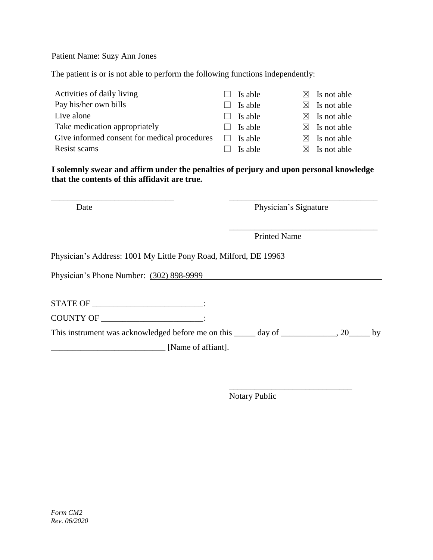Patient Name: Suzy Ann Jones

The patient is or is not able to perform the following functions independently:

| Activities of daily living                   | $\Box$ | Is able | $\boxtimes$ Is not able |
|----------------------------------------------|--------|---------|-------------------------|
| Pay his/her own bills                        | $\Box$ | Is able | $\boxtimes$ Is not able |
| Live alone                                   |        | Is able | $\boxtimes$ Is not able |
| Take medication appropriately                |        | Is able | $\boxtimes$ Is not able |
| Give informed consent for medical procedures |        | Is able | $\boxtimes$ Is not able |
| Resist scams                                 |        | Is able | $\boxtimes$ Is not able |

**I solemnly swear and affirm under the penalties of perjury and upon personal knowledge that the contents of this affidavit are true.**

\_\_\_\_\_\_\_\_\_\_\_\_\_\_\_\_\_\_\_\_\_\_\_\_\_\_\_\_\_ \_\_\_\_\_\_\_\_\_\_\_\_\_\_\_\_\_\_\_\_\_\_\_\_\_\_\_\_\_\_\_\_\_\_\_

Date Physician's Signature

\_\_\_\_\_\_\_\_\_\_\_\_\_\_\_\_\_\_\_\_\_\_\_\_\_\_\_\_\_

\_\_\_\_\_\_\_\_\_\_\_\_\_\_\_\_\_\_\_\_\_\_\_\_\_\_\_\_\_\_\_\_\_\_\_

Printed Name

Physician's Address: 1001 My Little Pony Road, Milford, DE 19963

Physician's Phone Number: (302) 898-9999

STATE OF \_\_\_\_\_\_\_\_\_\_\_\_\_\_\_\_\_\_\_\_\_\_\_\_\_\_: COUNTY OF \_\_\_\_\_\_\_\_\_\_\_\_\_\_\_\_\_\_\_\_\_\_\_\_:

This instrument was acknowledged before me on this \_\_\_\_\_ day of \_\_\_\_\_\_\_\_\_\_\_\_, 20\_\_\_\_\_ by \_\_\_\_\_\_\_\_\_\_\_\_\_\_\_\_\_\_\_\_\_\_\_\_\_\_\_ [Name of affiant].

Notary Public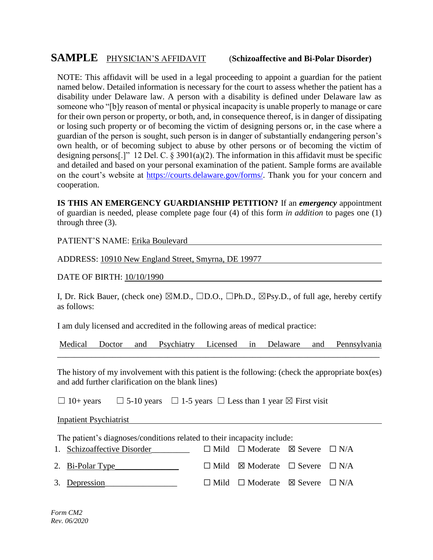# **SAMPLE** PHYSICIAN'S AFFIDAVIT (**Schizoaffective and Bi-Polar Disorder)**

NOTE: This affidavit will be used in a legal proceeding to appoint a guardian for the patient named below. Detailed information is necessary for the court to assess whether the patient has a disability under Delaware law. A person with a disability is defined under Delaware law as someone who "[b]y reason of mental or physical incapacity is unable properly to manage or care for their own person or property, or both, and, in consequence thereof, is in danger of dissipating or losing such property or of becoming the victim of designing persons or, in the case where a guardian of the person is sought, such person is in danger of substantially endangering person's own health, or of becoming subject to abuse by other persons or of becoming the victim of designing persons[.]" 12 Del. C.  $\S 3901(a)(2)$ . The information in this affidavit must be specific and detailed and based on your personal examination of the patient. Sample forms are available on the court's website at [https://courts.delaware.gov/forms/.](https://courts.delaware.gov/forms/) Thank you for your concern and cooperation.

**IS THIS AN EMERGENCY GUARDIANSHIP PETITION?** If an *emergency* appointment of guardian is needed, please complete page four (4) of this form *in addition* to pages one (1) through three (3).

PATIENT'S NAME: Erika Boulevard

ADDRESS: 10910 New England Street, Smyrna, DE 19977

DATE OF BIRTH: 10/10/1990

I, Dr. Rick Bauer, (check one)  $\boxtimes M.D., \square D.O., \square Ph.D., \boxtimes Psy.D.,$  of full age, hereby certify as follows:

I am duly licensed and accredited in the following areas of medical practice:

Medical Doctor and Psychiatry Licensed in Delaware and Pennsylvania \_\_\_\_\_\_\_\_\_\_\_\_\_\_\_\_\_\_\_\_\_\_\_\_\_\_\_\_\_\_\_\_\_\_\_\_\_\_\_\_\_\_\_\_\_\_\_\_\_\_\_\_\_\_\_\_\_\_\_\_\_\_\_\_\_\_\_\_\_\_\_\_\_\_\_\_

The history of my involvement with this patient is the following: (check the appropriate box(es) and add further clarification on the blank lines)

 $\Box$  10+ years  $\Box$  5-10 years  $\Box$  1-5 years  $\Box$  Less than 1 year  $\boxtimes$  First visit

Inpatient Psychiatrist

The patient's diagnoses/conditions related to their incapacity include:

| 1. Schizoaffective Disorder | $\Box$ Mild $\Box$ Moderate $\boxtimes$ Severe $\Box$ N/A |  |
|-----------------------------|-----------------------------------------------------------|--|
| 2. Bi-Polar Type            | $\Box$ Mild $\boxtimes$ Moderate $\Box$ Severe $\Box$ N/A |  |
| 3. Depression               | $\Box$ Mild $\Box$ Moderate $\boxtimes$ Severe $\Box$ N/A |  |

*Form CM2 Rev. 06/2020*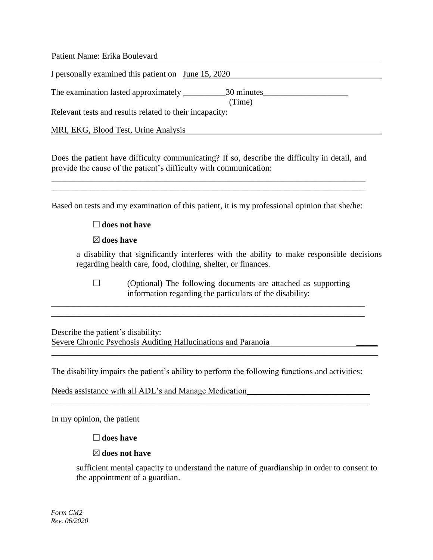Patient Name: Erika Boulevard I personally examined this patient on June 15, 2020 The examination lasted approximately \_\_\_\_\_\_\_\_\_\_30 minutes\_\_\_\_\_\_\_\_\_\_\_\_\_\_\_\_\_\_\_\_ (Time) Relevant tests and results related to their incapacity: MRI, EKG, Blood Test, Urine Analysis

Does the patient have difficulty communicating? If so, describe the difficulty in detail, and provide the cause of the patient's difficulty with communication:

\_\_\_\_\_\_\_\_\_\_\_\_\_\_\_\_\_\_\_\_\_\_\_\_\_\_\_\_\_\_\_\_\_\_\_\_\_\_\_\_\_\_\_\_\_\_\_\_\_\_\_\_\_\_\_\_\_\_\_\_\_\_\_\_\_\_\_\_\_\_\_\_\_\_ \_\_\_\_\_\_\_\_\_\_\_\_\_\_\_\_\_\_\_\_\_\_\_\_\_\_\_\_\_\_\_\_\_\_\_\_\_\_\_\_\_\_\_\_\_\_\_\_\_\_\_\_\_\_\_\_\_\_\_\_\_\_\_\_\_\_\_\_\_\_\_\_\_\_

Based on tests and my examination of this patient, it is my professional opinion that she/he:

### ☐**does not have**

☒**does have**

a disability that significantly interferes with the ability to make responsible decisions regarding health care, food, clothing, shelter, or finances.

 $\Box$  (Optional) The following documents are attached as supporting information regarding the particulars of the disability:

Describe the patient's disability: Severe Chronic Psychosis Auditing Hallucinations and Paranoia \_\_\_\_\_

The disability impairs the patient's ability to perform the following functions and activities:

\_\_\_\_\_\_\_\_\_\_\_\_\_\_\_\_\_\_\_\_\_\_\_\_\_\_\_\_\_\_\_\_\_\_\_\_\_\_\_\_\_\_\_\_\_\_\_\_\_\_\_\_\_\_\_\_\_\_\_\_\_\_\_\_\_\_\_\_\_\_\_\_\_\_\_

\_\_\_\_\_\_\_\_\_\_\_\_\_\_\_\_\_\_\_\_\_\_\_\_\_\_\_\_\_\_\_\_\_\_\_\_\_\_\_\_\_\_\_\_\_\_\_\_\_\_\_\_\_\_\_\_\_\_\_\_\_\_\_\_\_\_\_\_\_\_\_\_\_\_\_\_\_

\_\_\_\_\_\_\_\_\_\_\_\_\_\_\_\_\_\_\_\_\_\_\_\_\_\_\_\_\_\_\_\_\_\_\_\_\_\_\_\_\_\_\_\_\_\_\_\_\_\_\_\_\_\_\_\_\_\_\_\_\_\_\_\_\_\_\_\_\_\_\_\_\_\_ \_\_\_\_\_\_\_\_\_\_\_\_\_\_\_\_\_\_\_\_\_\_\_\_\_\_\_\_\_\_\_\_\_\_\_\_\_\_\_\_\_\_\_\_\_\_\_\_\_\_\_\_\_\_\_\_\_\_\_\_\_\_\_\_\_\_\_\_\_\_\_\_\_\_

Needs assistance with all ADL's and Manage Medication

In my opinion, the patient

☐**does have** 

#### ☒**does not have**

sufficient mental capacity to understand the nature of guardianship in order to consent to the appointment of a guardian.